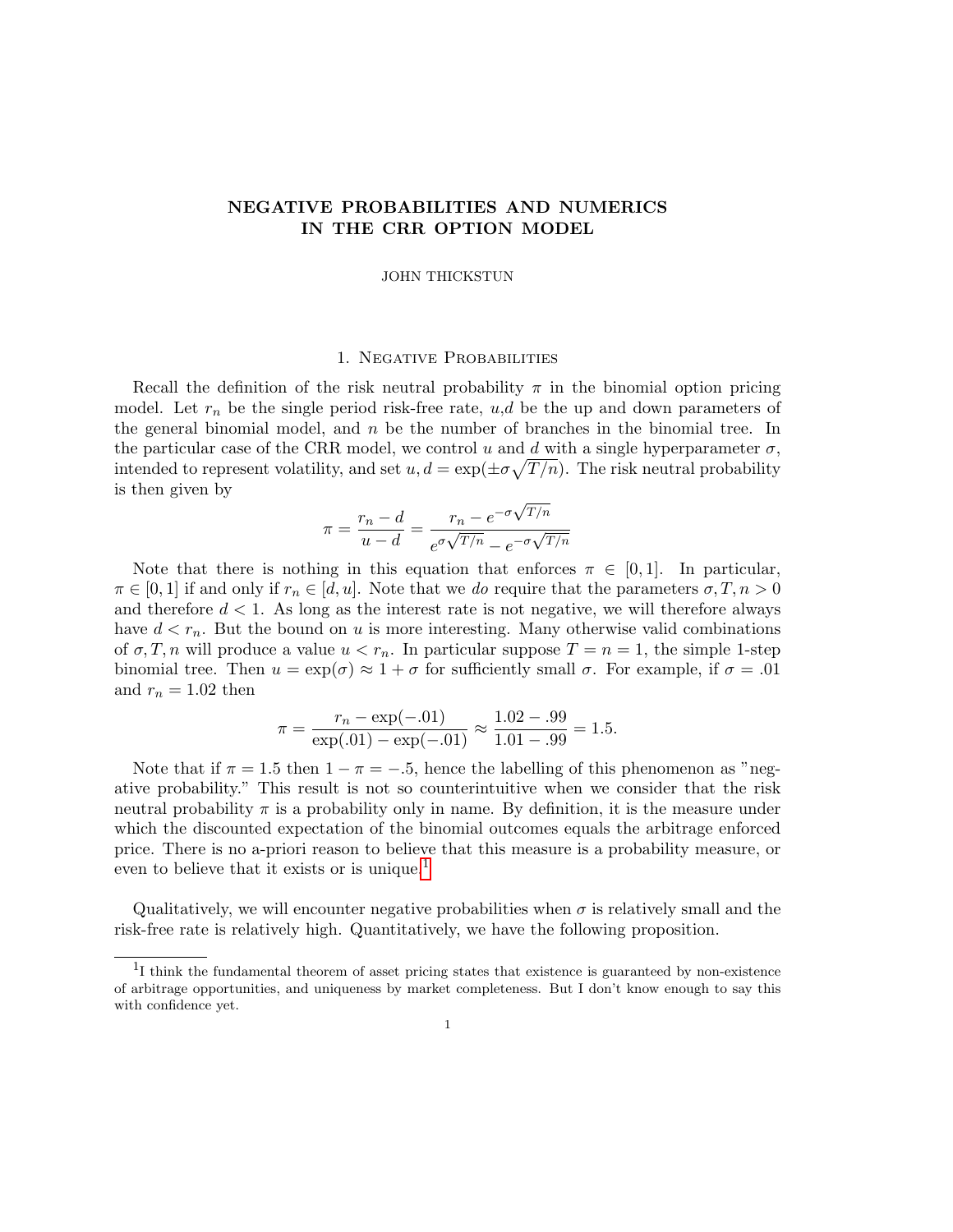# NEGATIVE PROBABILITIES AND NUMERICS IN THE CRR OPTION MODEL

### JOHN THICKSTUN

## 1. Negative Probabilities

Recall the definition of the risk neutral probability  $\pi$  in the binomial option pricing model. Let  $r_n$  be the single period risk-free rate,  $u,d$  be the up and down parameters of the general binomial model, and  $n$  be the number of branches in the binomial tree. In the particular case of the CRR model, we control u and d with a single hyperparameter  $\sigma$ , intended to represent volatility, and set  $u, d = \exp(\pm \sigma \sqrt{T/n})$ . The risk neutral probability is then given by √

$$
\pi = \frac{r_n - d}{u - d} = \frac{r_n - e^{-\sigma\sqrt{T/n}}}{e^{\sigma\sqrt{T/n}} - e^{-\sigma\sqrt{T/n}}}
$$

Note that there is nothing in this equation that enforces  $\pi \in [0,1]$ . In particular,  $\pi \in [0,1]$  if and only if  $r_n \in [d, u]$ . Note that we do require that the parameters  $\sigma, T, n > 0$ and therefore  $d < 1$ . As long as the interest rate is not negative, we will therefore always have  $d < r_n$ . But the bound on u is more interesting. Many otherwise valid combinations of  $\sigma, T, n$  will produce a value  $u < r_n$ . In particular suppose  $T = n = 1$ , the simple 1-step binomial tree. Then  $u = \exp(\sigma) \approx 1 + \sigma$  for sufficiently small  $\sigma$ . For example, if  $\sigma = .01$ and  $r_n = 1.02$  then

$$
\pi = \frac{r_n - \exp(-.01)}{\exp(.01) - \exp(-.01)} \approx \frac{1.02 - .99}{1.01 - .99} = 1.5.
$$

Note that if  $\pi = 1.5$  then  $1 - \pi = -.5$ , hence the labelling of this phenomenon as "negative probability." This result is not so counterintuitive when we consider that the risk neutral probability  $\pi$  is a probability only in name. By definition, it is the measure under which the discounted expectation of the binomial outcomes equals the arbitrage enforced price. There is no a-priori reason to believe that this measure is a probability measure, or even to believe that it exists or is unique.<sup>[1](#page-0-0)</sup>

Qualitatively, we will encounter negative probabilities when  $\sigma$  is relatively small and the risk-free rate is relatively high. Quantitatively, we have the following proposition.

<span id="page-0-0"></span><sup>&</sup>lt;sup>1</sup>I think the fundamental theorem of asset pricing states that existence is guaranteed by non-existence of arbitrage opportunities, and uniqueness by market completeness. But I don't know enough to say this with confidence yet.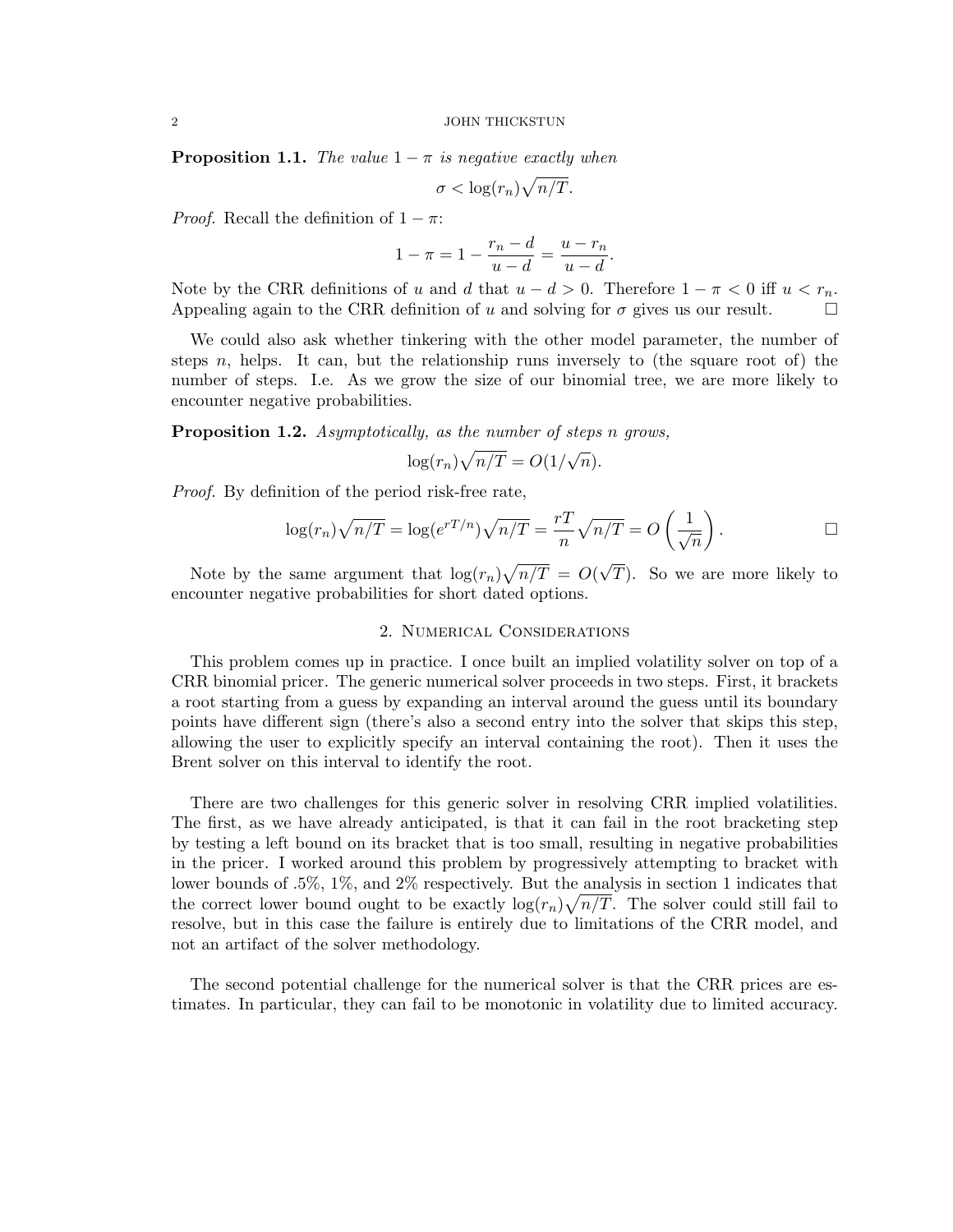#### 2 JOHN THICKSTUN

**Proposition 1.1.** The value  $1 - \pi$  is negative exactly when

$$
\sigma < \log(r_n) \sqrt{n/T}.
$$

*Proof.* Recall the definition of  $1 - \pi$ :

$$
1 - \pi = 1 - \frac{r_n - d}{u - d} = \frac{u - r_n}{u - d}.
$$

Note by the CRR definitions of u and d that  $u - d > 0$ . Therefore  $1 - \pi < 0$  iff  $u < r_n$ . Appealing again to the CRR definition of u and solving for  $\sigma$  gives us our result.  $\Box$ 

We could also ask whether tinkering with the other model parameter, the number of steps n, helps. It can, but the relationship runs inversely to (the square root of) the number of steps. I.e. As we grow the size of our binomial tree, we are more likely to encounter negative probabilities.

**Proposition 1.2.** Asymptotically, as the number of steps n grows,

$$
\log(r_n)\sqrt{n/T} = O(1/\sqrt{n}).
$$

Proof. By definition of the period risk-free rate,

$$
\log(r_n)\sqrt{n/T} = \log(e^{rT/n})\sqrt{n/T} = \frac{rT}{n}\sqrt{n/T} = O\left(\frac{1}{\sqrt{n}}\right).
$$

Note by the same argument that  $\log(r_n)\sqrt{n/T} = O(r)$ T). So we are more likely to encounter negative probabilities for short dated options.

### 2. Numerical Considerations

This problem comes up in practice. I once built an implied volatility solver on top of a CRR binomial pricer. The generic numerical solver proceeds in two steps. First, it brackets a root starting from a guess by expanding an interval around the guess until its boundary points have different sign (there's also a second entry into the solver that skips this step, allowing the user to explicitly specify an interval containing the root). Then it uses the Brent solver on this interval to identify the root.

There are two challenges for this generic solver in resolving CRR implied volatilities. The first, as we have already anticipated, is that it can fail in the root bracketing step by testing a left bound on its bracket that is too small, resulting in negative probabilities in the pricer. I worked around this problem by progressively attempting to bracket with lower bounds of .5%, 1%, and 2% respectively. But the analysis in section 1 indicates that the correct lower bound ought to be exactly  $\log(r_n)\sqrt{n/T}$ . The solver could still fail to resolve, but in this case the failure is entirely due to limitations of the CRR model, and not an artifact of the solver methodology.

The second potential challenge for the numerical solver is that the CRR prices are estimates. In particular, they can fail to be monotonic in volatility due to limited accuracy.